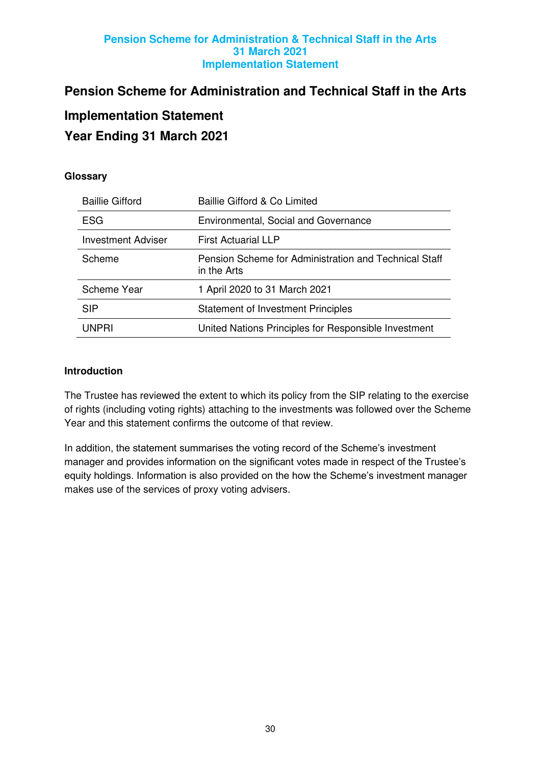# **Pension Scheme for Administration and Technical Staff in the Arts**

# **Implementation Statement**

# **Year Ending 31 March 2021**

# **Glossary**

| <b>Baillie Gifford</b> | Baillie Gifford & Co Limited                                         |
|------------------------|----------------------------------------------------------------------|
| <b>ESG</b>             | Environmental, Social and Governance                                 |
| Investment Adviser     | <b>First Actuarial LLP</b>                                           |
| Scheme                 | Pension Scheme for Administration and Technical Staff<br>in the Arts |
| <b>Scheme Year</b>     | 1 April 2020 to 31 March 2021                                        |
| <b>SIP</b>             | <b>Statement of Investment Principles</b>                            |
| <b>UNPRI</b>           | United Nations Principles for Responsible Investment                 |

## **Introduction**

The Trustee has reviewed the extent to which its policy from the SIP relating to the exercise of rights (including voting rights) attaching to the investments was followed over the Scheme Year and this statement confirms the outcome of that review.

In addition, the statement summarises the voting record of the Scheme's investment manager and provides information on the significant votes made in respect of the Trustee's equity holdings. Information is also provided on the how the Scheme's investment manager makes use of the services of proxy voting advisers.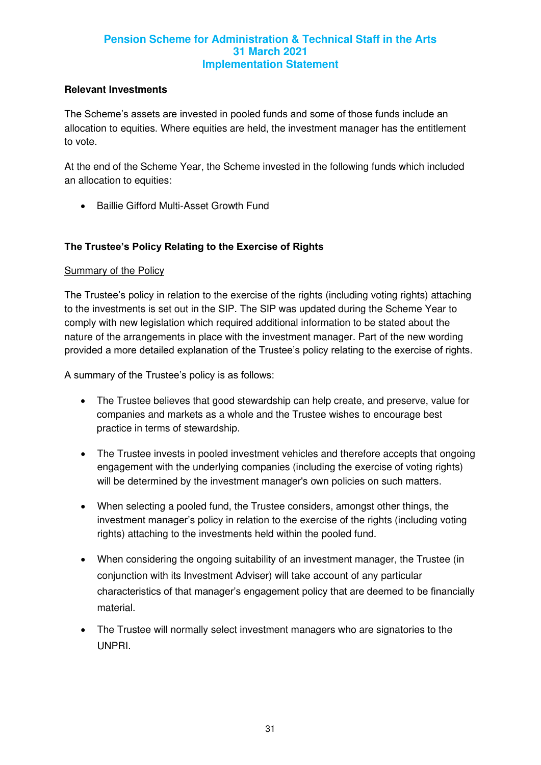#### **Relevant Investments**

The Scheme's assets are invested in pooled funds and some of those funds include an allocation to equities. Where equities are held, the investment manager has the entitlement to vote.

At the end of the Scheme Year, the Scheme invested in the following funds which included an allocation to equities:

• Baillie Gifford Multi-Asset Growth Fund

## **The Trustee's Policy Relating to the Exercise of Rights**

#### Summary of the Policy

The Trustee's policy in relation to the exercise of the rights (including voting rights) attaching to the investments is set out in the SIP. The SIP was updated during the Scheme Year to comply with new legislation which required additional information to be stated about the nature of the arrangements in place with the investment manager. Part of the new wording provided a more detailed explanation of the Trustee's policy relating to the exercise of rights.

A summary of the Trustee's policy is as follows:

- The Trustee believes that good stewardship can help create, and preserve, value for companies and markets as a whole and the Trustee wishes to encourage best practice in terms of stewardship.
- The Trustee invests in pooled investment vehicles and therefore accepts that ongoing engagement with the underlying companies (including the exercise of voting rights) will be determined by the investment manager's own policies on such matters.
- When selecting a pooled fund, the Trustee considers, amongst other things, the investment manager's policy in relation to the exercise of the rights (including voting rights) attaching to the investments held within the pooled fund.
- When considering the ongoing suitability of an investment manager, the Trustee (in conjunction with its Investment Adviser) will take account of any particular characteristics of that manager's engagement policy that are deemed to be financially material.
- The Trustee will normally select investment managers who are signatories to the UNPRI.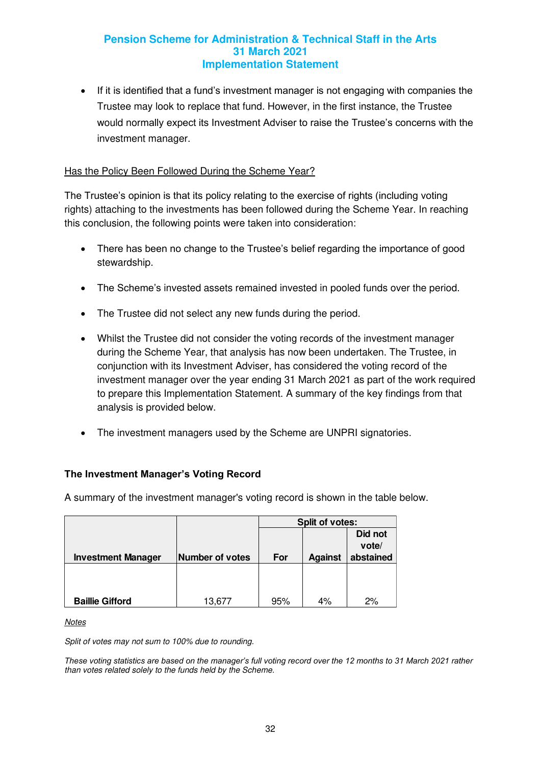• If it is identified that a fund's investment manager is not engaging with companies the Trustee may look to replace that fund. However, in the first instance, the Trustee would normally expect its Investment Adviser to raise the Trustee's concerns with the investment manager.

# Has the Policy Been Followed During the Scheme Year?

The Trustee's opinion is that its policy relating to the exercise of rights (including voting rights) attaching to the investments has been followed during the Scheme Year. In reaching this conclusion, the following points were taken into consideration:

- There has been no change to the Trustee's belief regarding the importance of good stewardship.
- The Scheme's invested assets remained invested in pooled funds over the period.
- The Trustee did not select any new funds during the period.
- Whilst the Trustee did not consider the voting records of the investment manager during the Scheme Year, that analysis has now been undertaken. The Trustee, in conjunction with its Investment Adviser, has considered the voting record of the investment manager over the year ending 31 March 2021 as part of the work required to prepare this Implementation Statement. A summary of the key findings from that analysis is provided below.
- The investment managers used by the Scheme are UNPRI signatories.

## **The Investment Manager's Voting Record**

A summary of the investment manager's voting record is shown in the table below.

|                           |                        | <b>Split of votes:</b> |                |           |  |  |
|---------------------------|------------------------|------------------------|----------------|-----------|--|--|
|                           |                        |                        |                | Did not   |  |  |
|                           |                        |                        |                | vote/     |  |  |
| <b>Investment Manager</b> | <b>Number of votes</b> | For                    | <b>Against</b> | abstained |  |  |
|                           |                        |                        |                |           |  |  |
|                           |                        |                        |                |           |  |  |
|                           |                        |                        |                |           |  |  |
| <b>Baillie Gifford</b>    | 13,677                 | 95%                    | 4%             | 2%        |  |  |

**Notes** 

Split of votes may not sum to 100% due to rounding.

*These voting statistics are based on the manager's full voting record over the 12 months to 31 March 2021 rather*  than votes related solely to the funds held by the Scheme.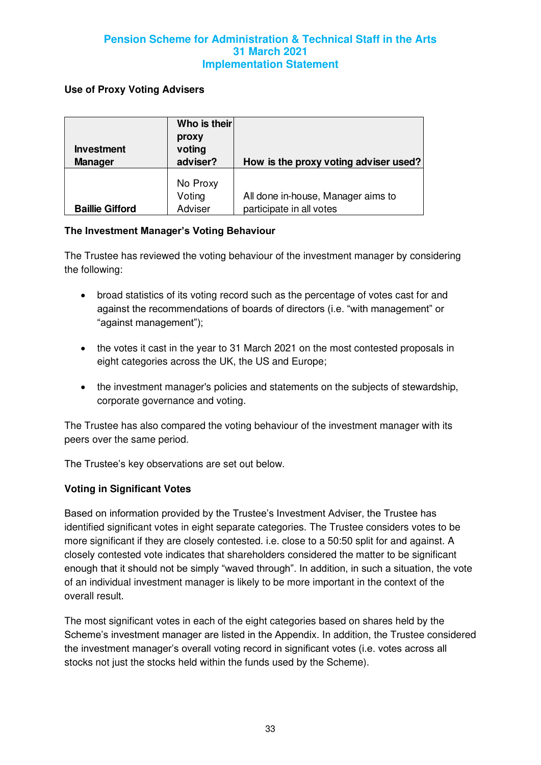### **Use of Proxy Voting Advisers**

| <b>Investment</b><br><b>Manager</b> | Who is their<br>proxy<br>voting<br>adviser? | How is the proxy voting adviser used?                          |
|-------------------------------------|---------------------------------------------|----------------------------------------------------------------|
| <b>Baillie Gifford</b>              | No Proxy<br>Voting<br>Adviser               | All done in-house, Manager aims to<br>participate in all votes |

#### **The Investment Manager's Voting Behaviour**

The Trustee has reviewed the voting behaviour of the investment manager by considering the following:

- broad statistics of its voting record such as the percentage of votes cast for and against the recommendations of boards of directors (i.e. "with management" or "against management");
- the votes it cast in the year to 31 March 2021 on the most contested proposals in eight categories across the UK, the US and Europe;
- the investment manager's policies and statements on the subjects of stewardship, corporate governance and voting.

The Trustee has also compared the voting behaviour of the investment manager with its peers over the same period.

The Trustee's key observations are set out below.

## **Voting in Significant Votes**

Based on information provided by the Trustee's Investment Adviser, the Trustee has identified significant votes in eight separate categories. The Trustee considers votes to be more significant if they are closely contested. i.e. close to a 50:50 split for and against. A closely contested vote indicates that shareholders considered the matter to be significant enough that it should not be simply "waved through". In addition, in such a situation, the vote of an individual investment manager is likely to be more important in the context of the overall result.

The most significant votes in each of the eight categories based on shares held by the Scheme's investment manager are listed in the Appendix. In addition, the Trustee considered the investment manager's overall voting record in significant votes (i.e. votes across all stocks not just the stocks held within the funds used by the Scheme).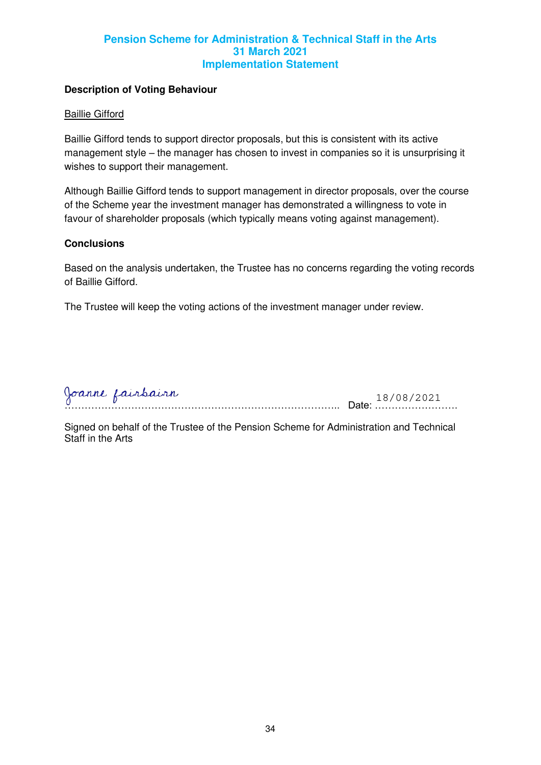## **Description of Voting Behaviour**

#### Baillie Gifford

Baillie Gifford tends to support director proposals, but this is consistent with its active management style – the manager has chosen to invest in companies so it is unsurprising it wishes to support their management.

Although Baillie Gifford tends to support management in director proposals, over the course of the Scheme year the investment manager has demonstrated a willingness to vote in favour of shareholder proposals (which typically means voting against management).

#### **Conclusions**

Based on the analysis undertaken, the Trustee has no concerns regarding the voting records of Baillie Gifford.

The Trustee will keep the voting actions of the investment manager under review.

| 0 | Joanne Lairbairn |  |
|---|------------------|--|
| . | .                |  |

Signed on behalf of the Trustee of the Pension Scheme for Administration and Technical Staff in the Arts